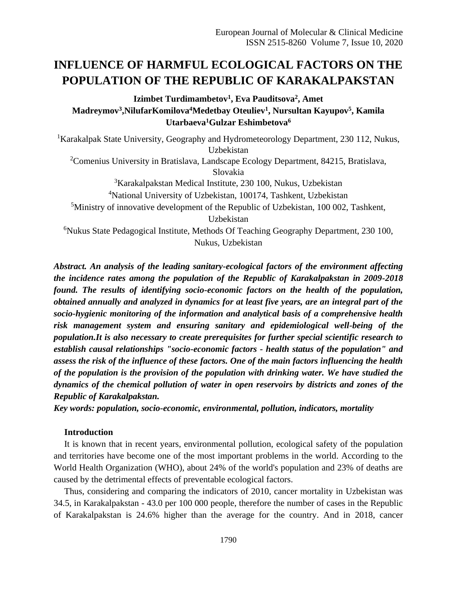# **INFLUENCE OF HARMFUL ECOLOGICAL FACTORS ON THE POPULATION OF THE REPUBLIC OF KARAKALPAKSTAN**

# **Izimbet Turdimambetov<sup>1</sup> , Eva Pauditsova<sup>2</sup> , Amet Madreymov<sup>3</sup> ,NilufarKomilova<sup>4</sup>Medetbay Oteuliev<sup>1</sup> , Nursultan Kayupov<sup>5</sup> , Kamila Utarbaeva<sup>1</sup>Gulzar Eshimbetova<sup>6</sup>**

<sup>1</sup>Karakalpak State University, Geography and Hydrometeorology Department, 230 112, Nukus, Uzbekistan

<sup>2</sup>Comenius University in Bratislava, Landscape Ecology Department, 84215, Bratislava, Slovakia

<sup>3</sup>Karakalpakstan Medical Institute, 230 100, Nukus, Uzbekistan

<sup>4</sup>National University of Uzbekistan, 100174, Tashkent, Uzbekistan

 $5$ Ministry of innovative development of the Republic of Uzbekistan, 100 002, Tashkent,

Uzbekistan

<sup>6</sup>Nukus State Pedagogical Institute, Methods Of Teaching Geography Department, 230 100, Nukus, Uzbekistan

*Abstract. An analysis of the leading sanitary-ecological factors of the environment affecting the incidence rates among the population of the Republic of Karakalpakstan in 2009-2018 found. The results of identifying socio-economic factors on the health of the population, obtained annually and analyzed in dynamics for at least five years, are an integral part of the socio-hygienic monitoring of the information and analytical basis of a comprehensive health risk management system and ensuring sanitary and epidemiological well-being of the population.It is also necessary to create prerequisites for further special scientific research to establish causal relationships "socio-economic factors - health status of the population" and assess the risk of the influence of these factors. One of the main factors influencing the health of the population is the provision of the population with drinking water. We have studied the dynamics of the chemical pollution of water in open reservoirs by districts and zones of the Republic of Karakalpakstan.*

*Key words: population, socio-economic, environmental, pollution, indicators, mortality*

## **Introduction**

It is known that in recent years, environmental pollution, ecological safety of the population and territories have become one of the most important problems in the world. According to the World Health Organization (WHO), about 24% of the world's population and 23% of deaths are caused by the detrimental effects of preventable ecological factors.

Thus, considering and comparing the indicators of 2010, cancer mortality in Uzbekistan was 34.5, in Karakalpakstan - 43.0 per 100 000 people, therefore the number of cases in the Republic of Karakalpakstan is 24.6% higher than the average for the country. And in 2018, cancer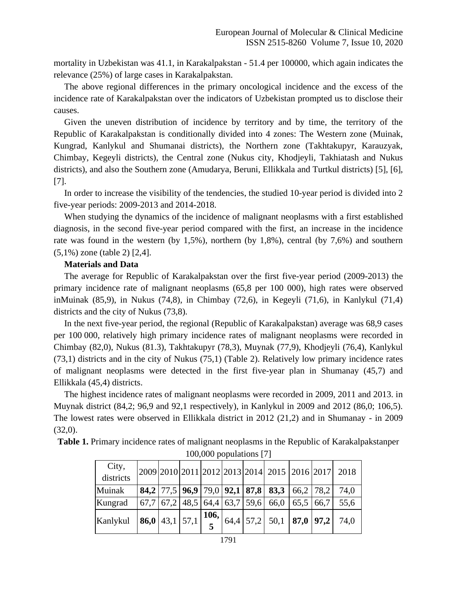mortality in Uzbekistan was 41.1, in Karakalpakstan - 51.4 per 100000, which again indicates the relevance (25%) of large cases in Karakalpakstan.

The above regional differences in the primary oncological incidence and the excess of the incidence rate of Karakalpakstan over the indicators of Uzbekistan prompted us to disclose their causes.

Given the uneven distribution of incidence by territory and by time, the territory of the Republic of Karakalpakstan is conditionally divided into 4 zones: The Western zone (Muinak, Kungrad, Kanlykul and Shumanai districts), the Northern zone (Takhtakupyr, Karauzyak, Chimbay, Kegeyli districts), the Central zone (Nukus city, Khodjeyli, Takhiatash and Nukus districts), and also the Southern zone (Amudarya, Beruni, Ellikkala and Turtkul districts) [5], [6], [7].

In order to increase the visibility of the tendencies, the studied 10-year period is divided into 2 five-year periods: 2009-2013 and 2014-2018.

When studying the dynamics of the incidence of malignant neoplasms with a first established diagnosis, in the second five-year period compared with the first, an increase in the incidence rate was found in the western (by 1,5%), northern (by 1,8%), central (by 7,6%) and southern (5,1%) zone (table 2) [2,4].

### **Materials and Data**

The average for Republic of Karakalpakstan over the first five-year period (2009-2013) the primary incidence rate of malignant neoplasms (65,8 per 100 000), high rates were observed inMuinak (85,9), in Nukus (74,8), in Chimbay (72,6), in Kegeyli (71,6), in Kanlykul (71,4) districts and the city of Nukus (73,8).

In the next five-year period, the regional (Republic of Karakalpakstan) average was 68,9 cases per 100 000, relatively high primary incidence rates of malignant neoplasms were recorded in Chimbay (82,0), Nukus (81.3), Takhtakupyr (78,3), Muynak (77,9), Khodjeyli (76,4), Kanlykul (73,1) districts and in the city of Nukus (75,1) (Table 2). Relatively low primary incidence rates of malignant neoplasms were detected in the first five-year plan in Shumanay (45,7) and Ellikkala (45,4) districts.

The highest incidence rates of malignant neoplasms were recorded in 2009, 2011 and 2013. in Muynak district (84,2; 96,9 and 92,1 respectively), in Kanlykul in 2009 and 2012 (86,0; 106,5). The lowest rates were observed in Ellikkala district in 2012 (21,2) and in Shumanay - in 2009 (32,0).

**Table 1.** Primary incidence rates of malignant neoplasms in the Republic of Karakalpakstanper 100,000 populations [7]

| City,<br>districts |  |  |  |                                                                                                         |  | 2009 2010 2011 2012 2013 2014 2015 2016 2017 2018                                                      |
|--------------------|--|--|--|---------------------------------------------------------------------------------------------------------|--|--------------------------------------------------------------------------------------------------------|
| Muinak             |  |  |  | <b>84,2</b> 77,5 <b>96,9</b> 79,0 <b>92,1 87,8 83,3</b> 66,2 78,2                                       |  | 74,0                                                                                                   |
| Kungrad            |  |  |  | $\left[67,7\right]67,2\left[48,5\right]64,4\left[63,7\right]59,6\left[66,0\right]65,5\left[66,7\right]$ |  | 55.6                                                                                                   |
| Kanlykul           |  |  |  |                                                                                                         |  | $\left  86,0   43,1   57,1   \frac{106}{5} \right  \overline{64,4}   57,2   50,1   87,0   97,2   74,0$ |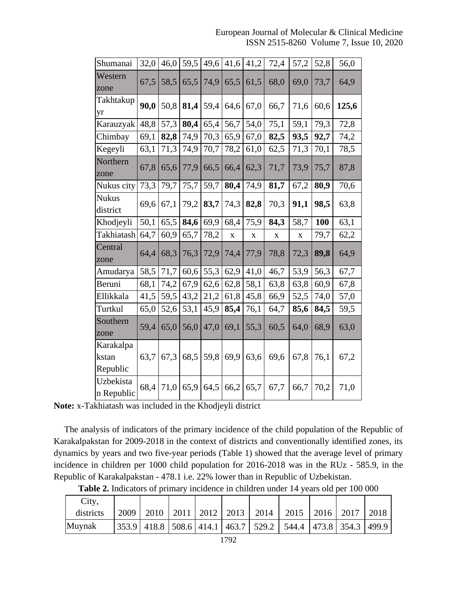| Shumanai                       | 32,0 | 46,0 | 59,5 | 49,6 | 41,6 | 41,2        | 72,4        | 57,2        | 52,8 | 56,0  |
|--------------------------------|------|------|------|------|------|-------------|-------------|-------------|------|-------|
| Western<br>zone                | 67,5 | 58,5 | 65,5 | 74,9 | 65,5 | 61,5        | 68,0        | 69,0        | 73,7 | 64,9  |
| Takhtakup<br>yr                | 90,0 | 50,8 | 81,4 | 59,4 | 64,6 | 67,0        | 66,7        | 71,6        | 60,6 | 125,6 |
| Karauzyak                      | 48,8 | 57,3 | 80,4 | 65,4 | 56,7 | 54,0        | 75,1        | 59,1        | 79,3 | 72,8  |
| Chimbay                        | 69,1 | 82,8 | 74,9 | 70,3 | 65,9 | 67,0        | 82,5        | 93,5        | 92,7 | 74,2  |
| Kegeyli                        | 63,1 | 71,3 | 74,9 | 70,7 | 78,2 | 61,0        | 62,5        | 71,3        | 70,1 | 78,5  |
| Northern<br>zone               | 67,8 | 65,6 | 77,9 | 66,5 | 66,4 | 62,3        | 71,7        | 73,9        | 75,7 | 87,8  |
| Nukus city                     | 73,3 | 79,7 | 75,7 | 59,7 | 80,4 | 74,9        | 81,7        | 67,2        | 80,9 | 70,6  |
| <b>Nukus</b><br>district       | 69,6 | 67,1 | 79,2 | 83,7 | 74,3 | 82,8        | 70,3        | 91,1        | 98,5 | 63,8  |
| Khodjeyli                      | 50,1 | 65,5 | 84,6 | 69,9 | 68,4 | 75,9        | 84,3        | 58,7        | 100  | 63,1  |
| Takhiatash                     | 64,7 | 60,9 | 65,7 | 78,2 | X    | $\mathbf X$ | $\mathbf X$ | $\mathbf X$ | 79,7 | 62,2  |
| Central<br>zone                | 64,4 | 68,3 | 76,3 | 72,9 | 74,4 | 77,9        | 78,8        | 72,3        | 89,8 | 64,9  |
| Amudarya                       | 58,5 | 71,7 | 60,6 | 55,3 | 62,9 | 41,0        | 46,7        | 53,9        | 56,3 | 67,7  |
| Beruni                         | 68,1 | 74,2 | 67,9 | 62,6 | 62,8 | 58,1        | 63,8        | 63,8        | 60,9 | 67,8  |
| Ellikkala                      | 41,5 | 59,5 | 43,2 | 21,2 | 61,8 | 45,8        | 66,9        | 52,5        | 74,0 | 57,0  |
| Turtkul                        | 65,0 | 52,6 | 53,1 | 45,9 | 85,4 | 76,1        | 64,7        | 85,6        | 84,5 | 59,5  |
| Southern<br>zone               | 59,4 | 65,0 | 56,0 | 47,0 | 69,1 | 55,3        | 60,5        | 64,0        | 68,9 | 63,0  |
| Karakalpa<br>kstan<br>Republic | 63,7 | 67,3 | 68,5 | 59,8 | 69,9 | 63,6        | 69,6        | 67,8        | 76,1 | 67,2  |
| Uzbekista<br>n Republic        | 68,4 | 71,0 | 65,9 | 64,5 | 66,2 | 65,7        | 67,7        | 66,7        | 70,2 | 71,0  |

**Note:** x-Takhiatash was included in the Khodjeyli district

The analysis of indicators of the primary incidence of the child population of the Republic of Karakalpakstan for 2009-2018 in the context of districts and conventionally identified zones, its dynamics by years and two five-year periods (Table 1) showed that the average level of primary incidence in children per 1000 child population for 2016-2018 was in the RUz - 585.9, in the Republic of Karakalpakstan - 478.1 i.e. 22% lower than in Republic of Uzbekistan.

| Table 2. Indicators of primary incidence in children under 14 years old per 100 000 |  |
|-------------------------------------------------------------------------------------|--|
|-------------------------------------------------------------------------------------|--|

| City,     |      |  |                           |                                                                               |  |                   |
|-----------|------|--|---------------------------|-------------------------------------------------------------------------------|--|-------------------|
| districts | 2009 |  | 2010   2011   2012   2013 | $\frac{1}{2014}$   2015   2016   2017                                         |  | $\frac{12018}{ }$ |
| Muynak    |      |  |                           | 353.9   418.8   508.6   414.1   463.7   529.2   544.4   473.8   354.3   499.9 |  |                   |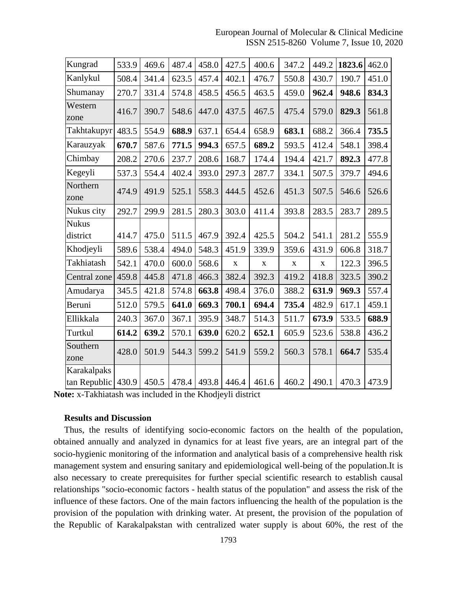European Journal of Molecular & Clinical Medicine ISSN 2515-8260 Volume 7, Issue 10, 2020

| Kungrad                     | 533.9 | 469.6 | 487.4 | 458.0 | 427.5       | 400.6       | 347.2       | 449.2       | 1823.6 | 462.0 |
|-----------------------------|-------|-------|-------|-------|-------------|-------------|-------------|-------------|--------|-------|
| Kanlykul                    | 508.4 | 341.4 | 623.5 | 457.4 | 402.1       | 476.7       | 550.8       | 430.7       | 190.7  | 451.0 |
| Shumanay                    | 270.7 | 331.4 | 574.8 | 458.5 | 456.5       | 463.5       | 459.0       | 962.4       | 948.6  | 834.3 |
| Western<br>zone             | 416.7 | 390.7 | 548.6 | 447.0 | 437.5       | 467.5       | 475.4       | 579.0       | 829.3  | 561.8 |
| Takhtakupyr                 | 483.5 | 554.9 | 688.9 | 637.1 | 654.4       | 658.9       | 683.1       | 688.2       | 366.4  | 735.5 |
| Karauzyak                   | 670.7 | 587.6 | 771.5 | 994.3 | 657.5       | 689.2       | 593.5       | 412.4       | 548.1  | 398.4 |
| Chimbay                     | 208.2 | 270.6 | 237.7 | 208.6 | 168.7       | 174.4       | 194.4       | 421.7       | 892.3  | 477.8 |
| Kegeyli                     | 537.3 | 554.4 | 402.4 | 393.0 | 297.3       | 287.7       | 334.1       | 507.5       | 379.7  | 494.6 |
| Northern<br>zone            | 474.9 | 491.9 | 525.1 | 558.3 | 444.5       | 452.6       | 451.3       | 507.5       | 546.6  | 526.6 |
| Nukus city                  | 292.7 | 299.9 | 281.5 | 280.3 | 303.0       | 411.4       | 393.8       | 283.5       | 283.7  | 289.5 |
| <b>Nukus</b>                |       |       |       |       |             |             |             |             |        |       |
| district                    | 414.7 | 475.0 | 511.5 | 467.9 | 392.4       | 425.5       | 504.2       | 541.1       | 281.2  | 555.9 |
| Khodjeyli                   | 589.6 | 538.4 | 494.0 | 548.3 | 451.9       | 339.9       | 359.6       | 431.9       | 606.8  | 318.7 |
| Takhiatash                  | 542.1 | 470.0 | 600.0 | 568.6 | $\mathbf X$ | $\mathbf X$ | $\mathbf X$ | $\mathbf X$ | 122.3  | 396.5 |
| Central zone                | 459.8 | 445.8 | 471.8 | 466.3 | 382.4       | 392.3       | 419.2       | 418.8       | 323.5  | 390.2 |
| Amudarya                    | 345.5 | 421.8 | 574.8 | 663.8 | 498.4       | 376.0       | 388.2       | 631.9       | 969.3  | 557.4 |
| Beruni                      | 512.0 | 579.5 | 641.0 | 669.3 | 700.1       | 694.4       | 735.4       | 482.9       | 617.1  | 459.1 |
| Ellikkala                   | 240.3 | 367.0 | 367.1 | 395.9 | 348.7       | 514.3       | 511.7       | 673.9       | 533.5  | 688.9 |
| Turtkul                     | 614.2 | 639.2 | 570.1 | 639.0 | 620.2       | 652.1       | 605.9       | 523.6       | 538.8  | 436.2 |
| Southern<br>zone            | 428.0 | 501.9 | 544.3 | 599.2 | 541.9       | 559.2       | 560.3       | 578.1       | 664.7  | 535.4 |
| Karakalpaks<br>tan Republic | 430.9 | 450.5 | 478.4 | 493.8 | 446.4       | 461.6       | 460.2       | 490.1       | 470.3  | 473.9 |

**Note:** x-Takhiatash was included in the Khodjeyli district

#### **Results and Discussion**

Thus, the results of identifying socio-economic factors on the health of the population, obtained annually and analyzed in dynamics for at least five years, are an integral part of the socio-hygienic monitoring of the information and analytical basis of a comprehensive health risk management system and ensuring sanitary and epidemiological well-being of the population.It is also necessary to create prerequisites for further special scientific research to establish causal relationships "socio-economic factors - health status of the population" and assess the risk of the influence of these factors. One of the main factors influencing the health of the population is the provision of the population with drinking water. At present, the provision of the population of the Republic of Karakalpakstan with centralized water supply is about 60%, the rest of the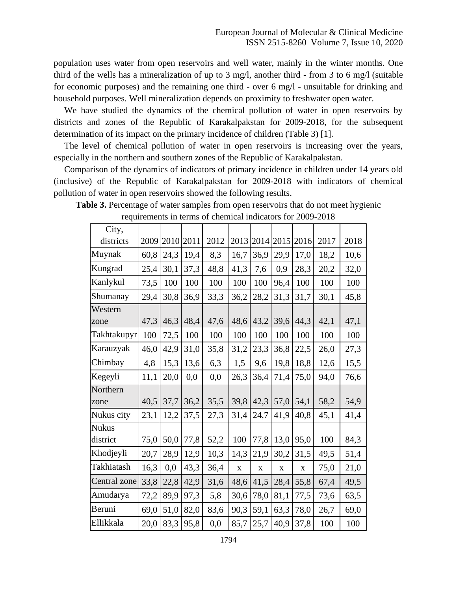population uses water from open reservoirs and well water, mainly in the winter months. One third of the wells has a mineralization of up to 3 mg/l, another third - from 3 to 6 mg/l (suitable for economic purposes) and the remaining one third - over 6 mg/l - unsuitable for drinking and household purposes. Well mineralization depends on proximity to freshwater open water.

We have studied the dynamics of the chemical pollution of water in open reservoirs by districts and zones of the Republic of Karakalpakstan for 2009-2018, for the subsequent determination of its impact on the primary incidence of children (Table 3) [1].

The level of chemical pollution of water in open reservoirs is increasing over the years, especially in the northern and southern zones of the Republic of Karakalpakstan.

Comparison of the dynamics of indicators of primary incidence in children under 14 years old (inclusive) of the Republic of Karakalpakstan for 2009-2018 with indicators of chemical pollution of water in open reservoirs showed the following results.

| City,        |      |      |      |      |             |             |             |             |      |      |
|--------------|------|------|------|------|-------------|-------------|-------------|-------------|------|------|
| districts    | 2009 | 2010 | 2011 | 2012 | 2013        | 2014        | 2015        | 2016        | 2017 | 2018 |
| Muynak       | 60,8 | 24,3 | 19,4 | 8,3  | 16,7        | 36,9        | 29,9        | 17,0        | 18,2 | 10,6 |
| Kungrad      | 25,4 | 30,1 | 37,3 | 48,8 | 41,3        | 7,6         | 0,9         | 28,3        | 20,2 | 32,0 |
| Kanlykul     | 73,5 | 100  | 100  | 100  | 100         | 100         | 96,4        | 100         | 100  | 100  |
| Shumanay     | 29,4 | 30,8 | 36,9 | 33,3 | 36,2        | 28,2        | 31,3        | 31,7        | 30,1 | 45,8 |
| Western      |      |      |      |      |             |             |             |             |      |      |
| zone         | 47,3 | 46,3 | 48,4 | 47,6 | 48,6        | 43,2        | 39,6        | 44,3        | 42,1 | 47,1 |
| Takhtakupyr  | 100  | 72,5 | 100  | 100  | 100         | 100         | 100         | 100         | 100  | 100  |
| Karauzyak    | 46,0 | 42,9 | 31,0 | 35,8 | 31,2        | 23,3        | 36,8        | 22,5        | 26,0 | 27,3 |
| Chimbay      | 4,8  | 15,3 | 13,6 | 6,3  | 1,5         | 9,6         | 19,8        | 18,8        | 12,6 | 15,5 |
| Kegeyli      | 11,1 | 20,0 | 0,0  | 0,0  | 26,3        | 36,4        | 71,4        | 75,0        | 94,0 | 76,6 |
| Northern     |      |      |      |      |             |             |             |             |      |      |
| zone         | 40,5 | 37,7 | 36,2 | 35,5 | 39,8        | 42,3        | 57,0        | 54,1        | 58,2 | 54,9 |
| Nukus city   | 23,1 | 12,2 | 37,5 | 27,3 | 31,4        | 24,7        | 41,9        | 40,8        | 45,1 | 41,4 |
| <b>Nukus</b> |      |      |      |      |             |             |             |             |      |      |
| district     | 75,0 | 50,0 | 77,8 | 52,2 | 100         | 77,8        | 13,0        | 95,0        | 100  | 84,3 |
| Khodjeyli    | 20,7 | 28,9 | 12,9 | 10,3 | 14,3        | 21,9        | 30,2        | 31,5        | 49,5 | 51,4 |
| Takhiatash   | 16,3 | 0,0  | 43,3 | 36,4 | $\mathbf X$ | $\mathbf X$ | $\mathbf X$ | $\mathbf X$ | 75,0 | 21,0 |
| Central zone | 33,8 | 22,8 | 42,9 | 31,6 | 48,6        | 41,5        | 28,4        | 55,8        | 67,4 | 49,5 |
| Amudarya     | 72,2 | 89,9 | 97,3 | 5,8  | 30,6        | 78,0        | 81,1        | 77,5        | 73,6 | 63,5 |
| Beruni       | 69,0 | 51,0 | 82,0 | 83,6 | 90,3        | 59,1        | 63,3        | 78,0        | 26,7 | 69,0 |
| Ellikkala    | 20,0 | 83,3 | 95,8 | 0,0  | 85,7        | 25,7        | 40,9        | 37,8        | 100  | 100  |

| <b>Table 3.</b> Percentage of water samples from open reservoirs that do not meet hygienic |
|--------------------------------------------------------------------------------------------|
| requirements in terms of chemical indicators for 2009-2018                                 |

1794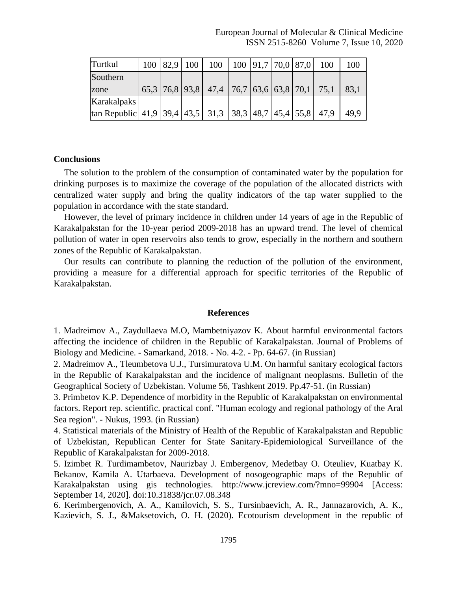| Turtkul                                                                             |  | 100   82.9   100 | $100 \mid 100 \mid 91.7 \mid 70.0 \mid 87.0 \mid$ |  |  | 100                                            | 100  |
|-------------------------------------------------------------------------------------|--|------------------|---------------------------------------------------|--|--|------------------------------------------------|------|
| Southern                                                                            |  |                  |                                                   |  |  |                                                |      |
| zone                                                                                |  |                  |                                                   |  |  | $65,3$ 76,8 93,8 47,4 76,7 63,6 63,8 70,1 75,1 | 83.1 |
| Karakalpaks                                                                         |  |                  |                                                   |  |  |                                                |      |
| $\vert$ tan Republic   41,9   39,4   43,5   31,3   38,3   48,7   45,4   55,8   47,9 |  |                  |                                                   |  |  |                                                | 49.9 |

#### **Conclusions**

The solution to the problem of the consumption of contaminated water by the population for drinking purposes is to maximize the coverage of the population of the allocated districts with centralized water supply and bring the quality indicators of the tap water supplied to the population in accordance with the state standard.

However, the level of primary incidence in children under 14 years of age in the Republic of Karakalpakstan for the 10-year period 2009-2018 has an upward trend. The level of chemical pollution of water in open reservoirs also tends to grow, especially in the northern and southern zones of the Republic of Karakalpakstan.

Our results can contribute to planning the reduction of the pollution of the environment, providing a measure for a differential approach for specific territories of the Republic of Karakalpakstan.

#### **References**

1. Madreimov A., Zaydullaeva M.O, Mambetniyazov K. About harmful environmental factors affecting the incidence of children in the Republic of Karakalpakstan. Journal of Problems of Biology and Medicine. - Samarkand, 2018. - No. 4-2. - Pp. 64-67. (in Russian)

2. Madreimov A., Tleumbetova U.J., Tursimuratova U.M. On harmful sanitary ecological factors in the Republic of Karakalpakstan and the incidence of malignant neoplasms. Bulletin of the Geographical Society of Uzbekistan. Volume 56, Tashkent 2019. Pp.47-51. (in Russian)

3. Primbetov K.P. Dependence of morbidity in the Republic of Karakalpakstan on environmental factors. Report rep. scientific. practical conf. "Human ecology and regional pathology of the Aral Sea region". - Nukus, 1993. (in Russian)

4. Statistical materials of the Ministry of Health of the Republic of Karakalpakstan and Republic of Uzbekistan, Republican Center for State Sanitary-Epidemiological Surveillance of the Republic of Karakalpakstan for 2009-2018.

5. Izimbet R. Turdimambetov, Naurizbay J. Embergenov, Medetbay O. Oteuliev, Kuatbay K. Bekanov, Kamila A. Utarbaeva. Development of nosogeographic maps of the Republic of Karakalpakstan using gis technologies. http://www.jcreview.com/?mno=99904 [Access: September 14, 2020]. [doi:10.31838/jcr.07.08.348](http://dx.doi.org/10.31838/jcr.07.08.348)

6. Kerimbergenovich, A. A., Kamilovich, S. S., Tursinbaevich, A. R., Jannazarovich, A. K., Kazievich, S. J., &Maksetovich, O. H. (2020). Ecotourism development in the republic of